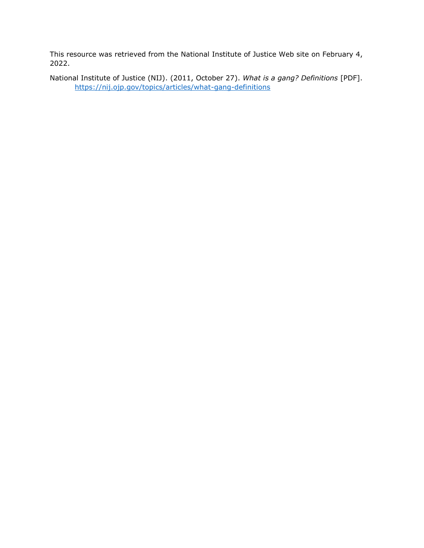#### This resource was retrieved from the National Institute of Justice Web site on February 4, 2022.

#### National Institute of Justice (NIJ). (2011, October 27). *What is a gang? Definitions* [PDF]. <https://nij.ojp.gov/topics/articles/what-gang-definitions>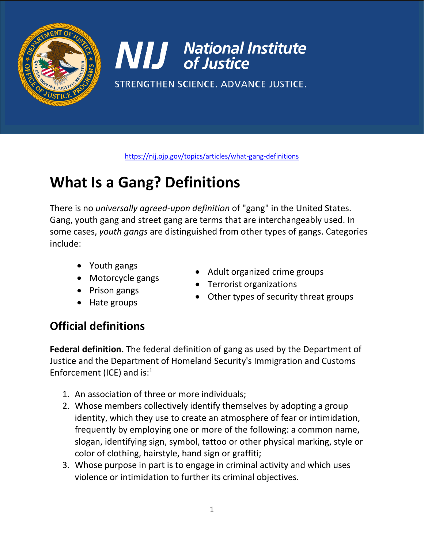

**NIJ** National Institute

STRENGTHEN SCIENCE. ADVANCE JUSTICE.

<https://nij.ojp.gov/topics/articles/what-gang-definitions>

# **What Is a Gang? Definitions**

There is no *universally agreed-upon definition* of "gang" in the United States. Gang, youth gang and street gang are terms that are interchangeably used. In some cases, *youth gangs* are distinguished from other types of gangs. Categories include:

- Youth gangs
- Motorcycle gangs
- Prison gangs
- Hate groups
- Adult organized crime groups
- Terrorist organizations
- Other types of security threat groups

## **Official definitions**

**Federal definition.** The federal definition of gang as used by the Department of Justice and the Department of Homeland Security's Immigration and Customs Enforcement (ICE) and is: $<sup>1</sup>$ </sup>

- 1. An association of three or more individuals;
- 2. Whose members collectively identify themselves by adopting a group identity, which they use to create an atmosphere of fear or intimidation, frequently by employing one or more of the following: a common name, slogan, identifying sign, symbol, tattoo or other physical marking, style or color of clothing, hairstyle, hand sign or graffiti;
- 3. Whose purpose in part is to engage in criminal activity and which uses violence or intimidation to further its criminal objectives.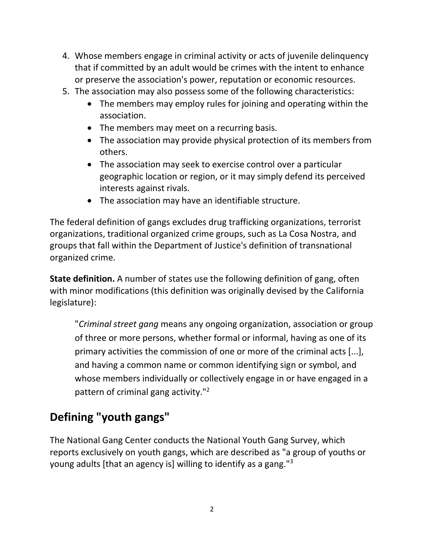- 4. Whose members engage in criminal activity or acts of juvenile delinquency that if committed by an adult would be crimes with the intent to enhance or preserve the association's power, reputation or economic resources.
- 5. The association may also possess some of the following characteristics:
	- The members may employ rules for joining and operating within the association.
	- The members may meet on a recurring basis.
	- The association may provide physical protection of its members from others.
	- The association may seek to exercise control over a particular geographic location or region, or it may simply defend its perceived interests against rivals.
	- The association may have an identifiable structure.

The federal definition of gangs excludes drug trafficking organizations, terrorist organizations, traditional organized crime groups, such as La Cosa Nostra, and groups that fall within the Department of Justice's definition of transnational organized crime.

**State definition.** A number of states use the following definition of gang, often with minor modifications (this definition was originally devised by the California legislature):

"*Criminal street gang* means any ongoing organization, association or group of three or more persons, whether formal or informal, having as one of its primary activities the commission of one or more of the criminal acts [...], and having a common name or common identifying sign or symbol, and whose members individually or collectively engage in or have engaged in a pattern of criminal gang activity."<sup>2</sup>

## **Defining "youth gangs"**

The National Gang Center conducts the National Youth Gang Survey, which reports exclusively on youth gangs, which are described as "a group of youths or young adults [that an agency is] willing to identify as a gang."3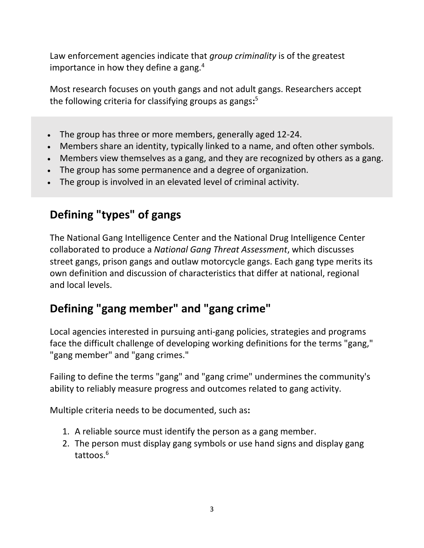Law enforcement agencies indicate that *group criminality* is of the greatest importance in how they define a gang. $4$ 

Most research focuses on youth gangs and not adult gangs. Researchers accept the following criteria for classifying groups as gangs**:** 5

- The group has three or more members, generally aged 12-24.
- Members share an identity, typically linked to a name, and often other symbols.
- Members view themselves as a gang, and they are recognized by others as a gang.
- The group has some permanence and a degree of organization.
- The group is involved in an elevated level of criminal activity.

#### **Defining "types" of gangs**

The National Gang Intelligence Center and the National Drug Intelligence Center collaborated to produce a *National Gang Threat Assessment*, which discusses street gangs, prison gangs and outlaw motorcycle gangs. Each gang type merits its own definition and discussion of characteristics that differ at national, regional and local levels.

## **Defining "gang member" and "gang crime"**

Local agencies interested in pursuing anti-gang policies, strategies and programs face the difficult challenge of developing working definitions for the terms "gang," "gang member" and "gang crimes."

Failing to define the terms "gang" and "gang crime" undermines the community's ability to reliably measure progress and outcomes related to gang activity.

Multiple criteria needs to be documented, such as**:**

- 1. A reliable source must identify the person as a gang member.
- 2. The person must display gang symbols or use hand signs and display gang tattoos.<sup>6</sup>